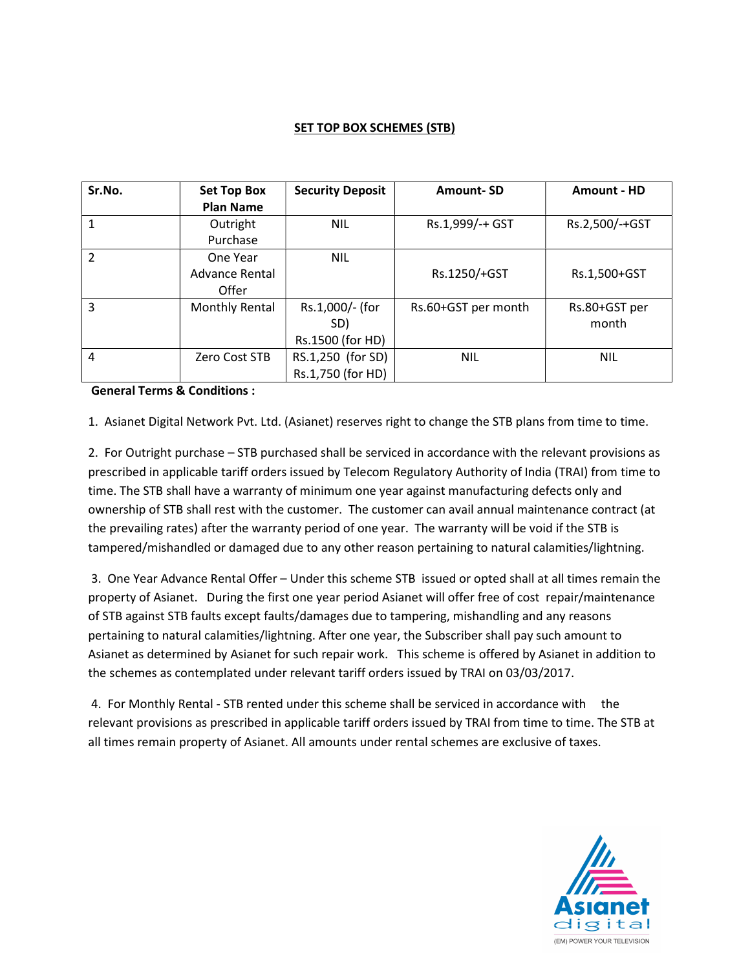## **SET TOP BOX SCHEMES (STB)**

| Sr.No.         | <b>Set Top Box</b><br><b>Plan Name</b> | <b>Security Deposit</b>                    | <b>Amount-SD</b>    | <b>Amount - HD</b>     |
|----------------|----------------------------------------|--------------------------------------------|---------------------|------------------------|
| 1              | Outright<br>Purchase                   | <b>NIL</b>                                 | Rs.1,999/-+ GST     | Rs.2,500/-+GST         |
| $\mathcal{P}$  | One Year<br>Advance Rental<br>Offer    | <b>NIL</b>                                 | Rs.1250/+GST        | Rs.1,500+GST           |
| 3              | Monthly Rental                         | Rs.1,000/- (for<br>SD)<br>Rs.1500 (for HD) | Rs.60+GST per month | Rs.80+GST per<br>month |
| $\overline{4}$ | Zero Cost STB                          | RS.1,250 (for SD)<br>Rs.1,750 (for HD)     | <b>NIL</b>          | <b>NIL</b>             |

## General Terms & Conditions :

1. Asianet Digital Network Pvt. Ltd. (Asianet) reserves right to change the STB plans from time to time.

2. For Outright purchase – STB purchased shall be serviced in accordance with the relevant provisions as prescribed in applicable tariff orders issued by Telecom Regulatory Authority of India (TRAI) from time to time. The STB shall have a warranty of minimum one year against manufacturing defects only and ownership of STB shall rest with the customer. The customer can avail annual maintenance contract (at the prevailing rates) after the warranty period of one year. The warranty will be void if the STB is tampered/mishandled or damaged due to any other reason pertaining to natural calamities/lightning.

 3. One Year Advance Rental Offer – Under this scheme STB issued or opted shall at all times remain the property of Asianet. During the first one year period Asianet will offer free of cost repair/maintenance of STB against STB faults except faults/damages due to tampering, mishandling and any reasons pertaining to natural calamities/lightning. After one year, the Subscriber shall pay such amount to Asianet as determined by Asianet for such repair work. This scheme is offered by Asianet in addition to the schemes as contemplated under relevant tariff orders issued by TRAI on 03/03/2017.

 4. For Monthly Rental - STB rented under this scheme shall be serviced in accordance with the relevant provisions as prescribed in applicable tariff orders issued by TRAI from time to time. The STB at all times remain property of Asianet. All amounts under rental schemes are exclusive of taxes.